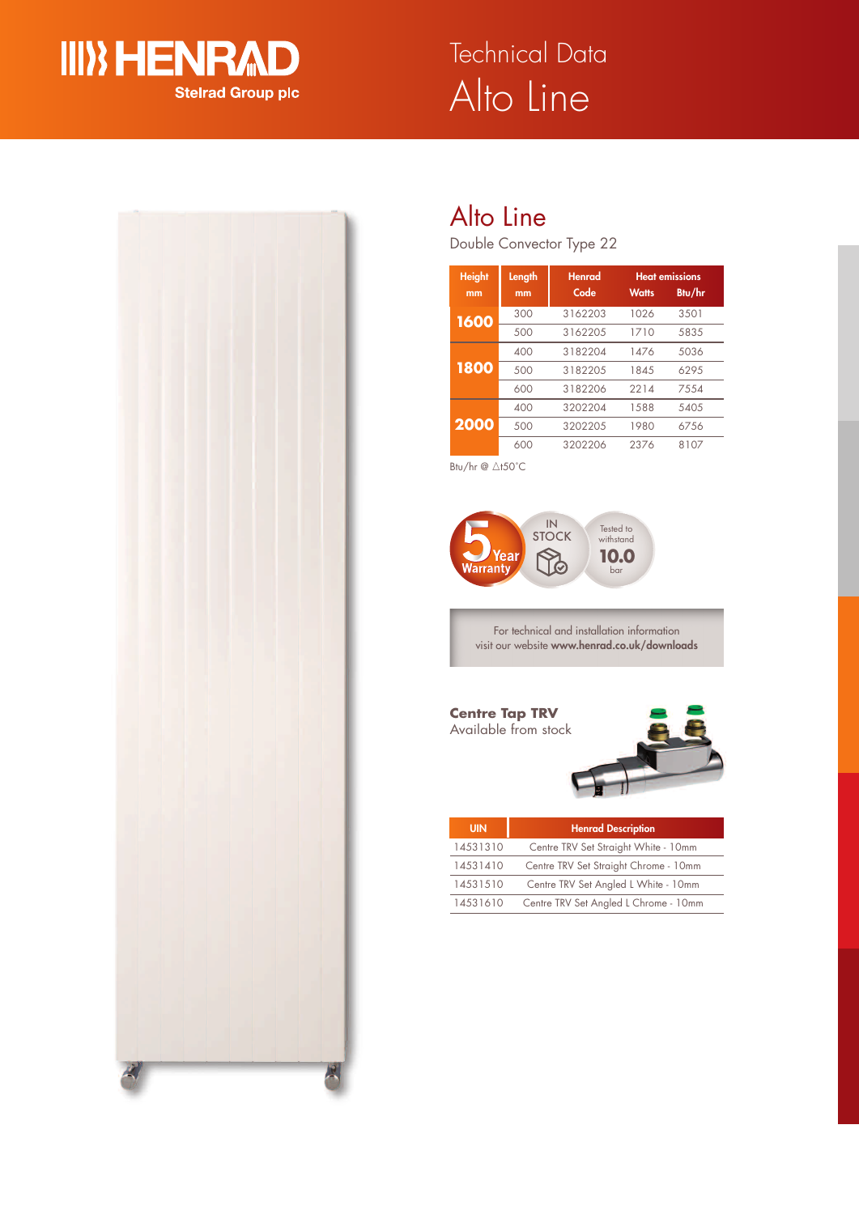

# Alto Line Technical Data



# Alto Line

Double Convector Type 22

| <b>Height</b><br>mm | Length<br>mm | <b>Henrad</b><br>Code | <b>Watts</b> | <b>Heat emissions</b><br>Btu/hr |  |
|---------------------|--------------|-----------------------|--------------|---------------------------------|--|
| 1600                | 300          | 3162203               | 1026         | 3501                            |  |
|                     | 500          | 3162205               | 1710         | 5835                            |  |
| 1800                | 400          | 3182204               | 1476         | 5036                            |  |
|                     | 500          | 3182205               | 1845         | 6295                            |  |
|                     | 600          | 3182206               | 2214         | 7554                            |  |
| 2000                | 400          | 3202204               | 1588         | 5405                            |  |
|                     | 500          | 3202205               | 1980         | 6756                            |  |
|                     | 600          | 3202206               | 2376         | 8107                            |  |

Btu/hr  $@$   $\triangle$ t50°C



For technical and installation information visit our website **www.henrad.co.uk/downloads**

## **Centre Tap TRV** Available from stock



| <b>UIN</b> | <b>Henrad Description</b>             |  |  |
|------------|---------------------------------------|--|--|
| 14531310   | Centre TRV Set Straight White - 10mm  |  |  |
| 14531410   | Centre TRV Set Straight Chrome - 10mm |  |  |
| 14531510   | Centre TRV Set Angled L White - 10mm  |  |  |
| 14531610   | Centre TRV Set Angled L Chrome - 10mm |  |  |